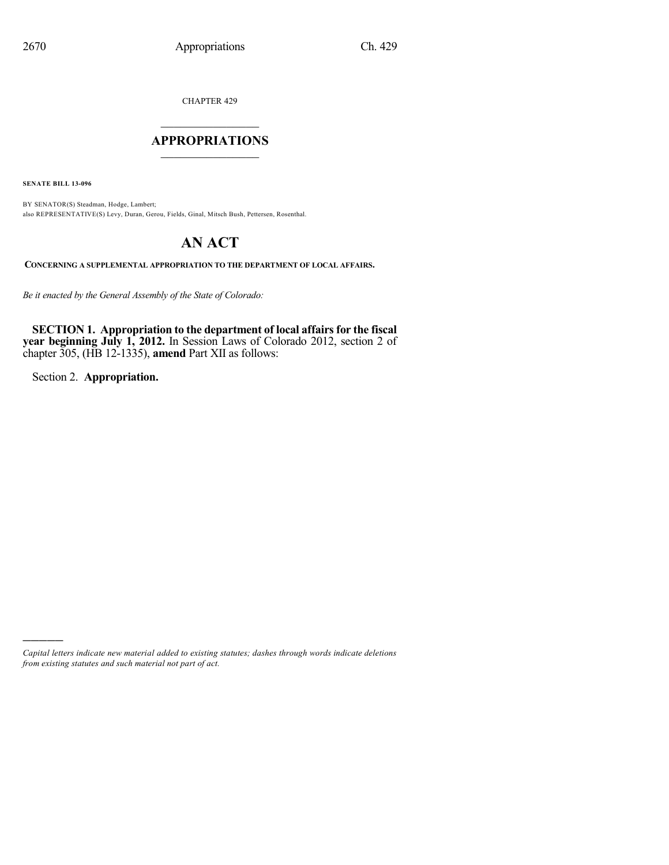CHAPTER 429

# $\mathcal{L}_\text{max}$  . The set of the set of the set of the set of the set of the set of the set of the set of the set of the set of the set of the set of the set of the set of the set of the set of the set of the set of the set **APPROPRIATIONS**  $\_$   $\_$   $\_$   $\_$   $\_$   $\_$   $\_$   $\_$

**SENATE BILL 13-096**

BY SENATOR(S) Steadman, Hodge, Lambert; also REPRESENTATIVE(S) Levy, Duran, Gerou, Fields, Ginal, Mitsch Bush, Pettersen, Rosenthal.

# **AN ACT**

**CONCERNING A SUPPLEMENTAL APPROPRIATION TO THE DEPARTMENT OF LOCAL AFFAIRS.**

*Be it enacted by the General Assembly of the State of Colorado:*

**SECTION 1. Appropriation to the department of local affairsfor the fiscal year beginning July 1, 2012.** In Session Laws of Colorado 2012, section 2 of chapter 305, (HB 12-1335), **amend** Part XII as follows:

Section 2. **Appropriation.**

)))))

*Capital letters indicate new material added to existing statutes; dashes through words indicate deletions from existing statutes and such material not part of act.*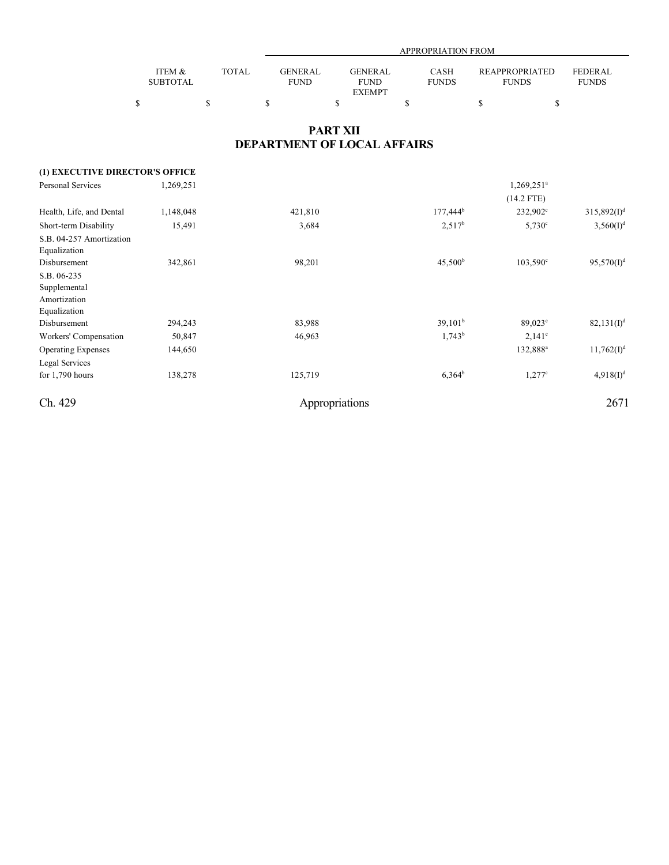|                 |              |             | <b>APPROPRIATION FROM</b> |              |                |                |  |  |  |  |  |
|-----------------|--------------|-------------|---------------------------|--------------|----------------|----------------|--|--|--|--|--|
|                 |              |             |                           |              |                |                |  |  |  |  |  |
| ITEM &          | <b>TOTAL</b> | GENERAL     | GENERAL                   | CASH         | REAPPROPRIATED | <b>FEDERAL</b> |  |  |  |  |  |
| <b>SUBTOTAL</b> |              | <b>FUND</b> | <b>FUND</b>               | <b>FUNDS</b> | <b>FUNDS</b>   | <b>FUNDS</b>   |  |  |  |  |  |
|                 |              |             | <b>EXEMPT</b>             |              |                |                |  |  |  |  |  |
|                 |              |             |                           |              |                |                |  |  |  |  |  |

## **PART XII DEPARTMENT OF LOCAL AFFAIRS**

| (1) EXECUTIVE DIRECTOR'S OFFICE                             |           |                |                          |                      |                |
|-------------------------------------------------------------|-----------|----------------|--------------------------|----------------------|----------------|
| Personal Services                                           | 1,269,251 |                | $1,269,251$ <sup>a</sup> |                      |                |
|                                                             |           |                |                          | $(14.2$ FTE)         |                |
| Health, Life, and Dental                                    | 1,148,048 | 421,810        | $177,444^b$              | $232,902^{\circ}$    | $315,892(I)^d$ |
| Short-term Disability                                       | 15,491    | 3,684          | $2,517^b$                | $5,730^{\circ}$      | $3,560(I)^d$   |
| S.B. 04-257 Amortization<br>Equalization                    |           |                |                          |                      |                |
| Disbursement                                                | 342,861   | 98,201         | 45,500 <sup>b</sup>      | $103,590^{\circ}$    | $95,570(I)^d$  |
| S.B. 06-235<br>Supplemental<br>Amortization<br>Equalization |           |                |                          |                      |                |
| Disbursement                                                | 294,243   | 83,988         | 39,101 <sup>b</sup>      | $89,023^{\circ}$     | $82,131(I)^d$  |
| Workers' Compensation                                       | 50,847    | 46,963         | $1,743^b$                | $2,141^{\circ}$      |                |
| <b>Operating Expenses</b>                                   | 144,650   |                |                          | 132,888 <sup>a</sup> | $11,762(I)^d$  |
| Legal Services<br>for $1,790$ hours                         | 138,278   | 125,719        | $6,364^b$                | $1,277^c$            | $4,918(I)^d$   |
| Ch. 429                                                     |           | Appropriations |                          |                      | 2671           |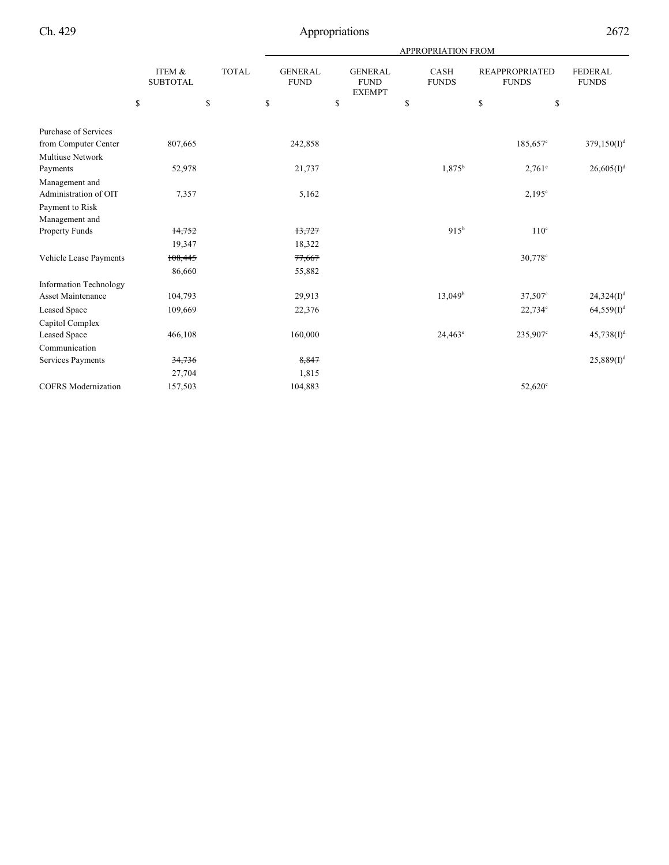|                                         |                           |              | APPROPRIATION FROM |                                                |                             |                                       |                                |  |  |  |
|-----------------------------------------|---------------------------|--------------|--------------------|------------------------------------------------|-----------------------------|---------------------------------------|--------------------------------|--|--|--|
|                                         | ITEM &<br><b>SUBTOTAL</b> | <b>TOTAL</b> |                    | <b>GENERAL</b><br><b>FUND</b><br><b>EXEMPT</b> | <b>CASH</b><br><b>FUNDS</b> | <b>REAPPROPRIATED</b><br><b>FUNDS</b> | <b>FEDERAL</b><br><b>FUNDS</b> |  |  |  |
|                                         | \$                        | \$           | \$                 | \$                                             | \$                          | \$                                    | \$                             |  |  |  |
| <b>Purchase of Services</b>             |                           |              |                    |                                                |                             |                                       |                                |  |  |  |
| from Computer Center                    | 807,665                   |              | 242,858            |                                                |                             | 185,657 <sup>c</sup>                  | 379, 150(1) <sup>d</sup>       |  |  |  |
| <b>Multiuse Network</b>                 |                           |              |                    |                                                |                             |                                       |                                |  |  |  |
| Payments                                | 52,978                    |              | 21,737             |                                                | $1,875^{\rm b}$             | $2,761^{\circ}$                       | 26,605 (I) <sup>d</sup>        |  |  |  |
| Management and<br>Administration of OIT | 7,357                     |              | 5,162              |                                                |                             | $2,195^{\circ}$                       |                                |  |  |  |
| Payment to Risk<br>Management and       |                           |              |                    |                                                |                             |                                       |                                |  |  |  |
| Property Funds                          | 14,752                    |              | 13,727             |                                                | $915^{b}$                   | 110 <sup>c</sup>                      |                                |  |  |  |
|                                         | 19,347                    |              | 18,322             |                                                |                             |                                       |                                |  |  |  |
| Vehicle Lease Payments                  | 108,445                   |              | 77,667             |                                                |                             | 30,778 <sup>c</sup>                   |                                |  |  |  |
|                                         | 86,660                    |              | 55,882             |                                                |                             |                                       |                                |  |  |  |
| <b>Information Technology</b>           |                           |              |                    |                                                |                             |                                       |                                |  |  |  |
| <b>Asset Maintenance</b>                | 104,793                   |              | 29,913             |                                                | $13,049^b$                  | $37,507^{\circ}$                      | 24,324(I) <sup>d</sup>         |  |  |  |
| <b>Leased Space</b>                     | 109,669                   |              | 22,376             |                                                |                             | $22,734$ °                            | $64,559(1)^d$                  |  |  |  |
| Capitol Complex                         |                           |              |                    |                                                |                             |                                       |                                |  |  |  |
| <b>Leased Space</b>                     | 466,108                   |              | 160,000            |                                                | $24,463^{\circ}$            | 235,907°                              | $45,738(I)^d$                  |  |  |  |
| Communication                           |                           |              |                    |                                                |                             |                                       |                                |  |  |  |
| Services Payments                       | 34,736                    |              | 8,847              |                                                |                             |                                       | 25,889(I) <sup>d</sup>         |  |  |  |
|                                         | 27,704                    |              | 1,815              |                                                |                             |                                       |                                |  |  |  |
| <b>COFRS</b> Modernization              | 157,503                   |              | 104,883            |                                                |                             | 52,620 <sup>c</sup>                   |                                |  |  |  |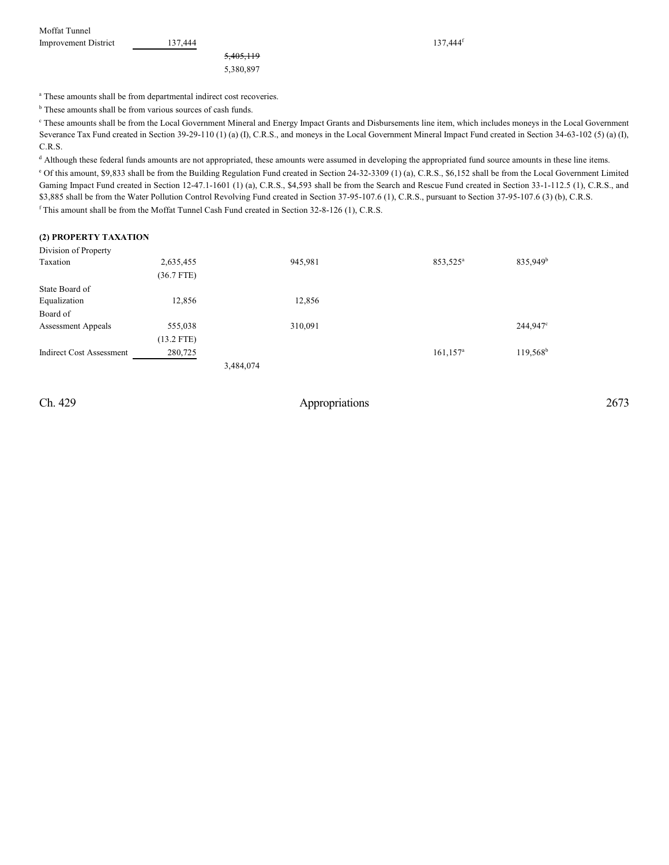| Moffat Tunnel               |         |                      |         |
|-----------------------------|---------|----------------------|---------|
| <b>Improvement District</b> | 137.444 |                      | 137.444 |
|                             |         | <del>5,405,119</del> |         |
|                             |         | 5.380.897            |         |

137,444<sup>f</sup>

<sup>a</sup> These amounts shall be from departmental indirect cost recoveries.

 $<sup>b</sup>$  These amounts shall be from various sources of cash funds.</sup>

 These amounts shall be from the Local Government Mineral and Energy Impact Grants and Disbursements line item, which includes moneys in the Local Government <sup>c</sup> Severance Tax Fund created in Section 39-29-110 (1) (a) (I), C.R.S., and moneys in the Local Government Mineral Impact Fund created in Section 34-63-102 (5) (a) (I), C.R.S.

<sup>d</sup> Although these federal funds amounts are not appropriated, these amounts were assumed in developing the appropriated fund source amounts in these line items. <sup>e</sup> Of this amount, \$9,833 shall be from the Building Regulation Fund created in Section 24-32-3309 (1) (a), C.R.S., \$6,152 shall be from the Local Government Limited Gaming Impact Fund created in Section 12-47.1-1601 (1) (a), C.R.S., \$4,593 shall be from the Search and Rescue Fund created in Section 33-1-112.5 (1), C.R.S., and \$3,885 shall be from the Water Pollution Control Revolving Fund created in Section 37-95-107.6 (1), C.R.S., pursuant to Section 37-95-107.6 (3) (b), C.R.S.  $f$ This amount shall be from the Moffat Tunnel Cash Fund created in Section 32-8-126 (1), C.R.S.

### **(2) PROPERTY TAXATION**

| Division of Property            |              |           |         |                         |                      |
|---------------------------------|--------------|-----------|---------|-------------------------|----------------------|
| Taxation                        | 2,635,455    |           | 945,981 | 853,525 <sup>a</sup>    | 835,949 <sup>b</sup> |
|                                 | (36.7 FTE)   |           |         |                         |                      |
| State Board of                  |              |           |         |                         |                      |
| Equalization                    | 12,856       |           | 12,856  |                         |                      |
| Board of                        |              |           |         |                         |                      |
| <b>Assessment Appeals</b>       | 555,038      |           | 310.091 |                         | 244,947 <sup>c</sup> |
|                                 | $(13.2$ FTE) |           |         |                         |                      |
| <b>Indirect Cost Assessment</b> | 280,725      |           |         | $161, 157$ <sup>a</sup> | $119,568^b$          |
|                                 |              | 3,484,074 |         |                         |                      |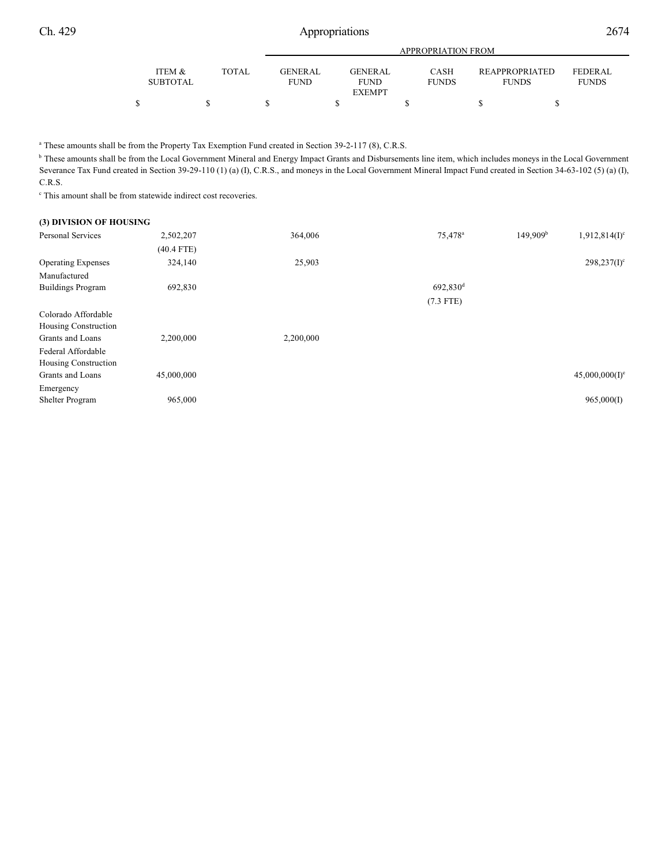|                           |       |                               |                                         | APPROPRIATION FROM   |                                |                                |
|---------------------------|-------|-------------------------------|-----------------------------------------|----------------------|--------------------------------|--------------------------------|
| ITEM &<br><b>SUBTOTAL</b> | TOTAL | <b>GENERAL</b><br><b>FUND</b> | GENERAL<br><b>FUND</b><br><b>EXEMPT</b> | CASH<br><b>FUNDS</b> | REAPPROPRIATED<br><b>FUNDS</b> | <b>FEDERAL</b><br><b>FUNDS</b> |
|                           |       |                               |                                         |                      |                                |                                |

<sup>a</sup> These amounts shall be from the Property Tax Exemption Fund created in Section 39-2-117 (8), C.R.S.

<sup>b</sup> These amounts shall be from the Local Government Mineral and Energy Impact Grants and Disbursements line item, which includes moneys in the Local Government Severance Tax Fund created in Section 39-29-110 (1) (a) (I), C.R.S., and moneys in the Local Government Mineral Impact Fund created in Section 34-63-102 (5) (a) (I), C.R.S.

 $\cdot$  This amount shall be from statewide indirect cost recoveries.

| (3) DIVISION OF HOUSING   |              |           |                      |                                                   |
|---------------------------|--------------|-----------|----------------------|---------------------------------------------------|
| <b>Personal Services</b>  | 2,502,207    | 364,006   | 75,478 <sup>a</sup>  | 149,909 <sup>b</sup><br>1,912,814(I) <sup>c</sup> |
|                           | $(40.4$ FTE) |           |                      |                                                   |
| <b>Operating Expenses</b> | 324,140      | 25,903    |                      | $298,237(I)^c$                                    |
| Manufactured              |              |           |                      |                                                   |
| <b>Buildings Program</b>  | 692,830      |           | 692,830 <sup>d</sup> |                                                   |
|                           |              |           | $(7.3$ FTE)          |                                                   |
| Colorado Affordable       |              |           |                      |                                                   |
| Housing Construction      |              |           |                      |                                                   |
| Grants and Loans          | 2,200,000    | 2,200,000 |                      |                                                   |
| Federal Affordable        |              |           |                      |                                                   |
| Housing Construction      |              |           |                      |                                                   |
| Grants and Loans          | 45,000,000   |           |                      | $45,000,000(1)^e$                                 |
| Emergency                 |              |           |                      |                                                   |
| Shelter Program           | 965,000      |           |                      | 965,000(I)                                        |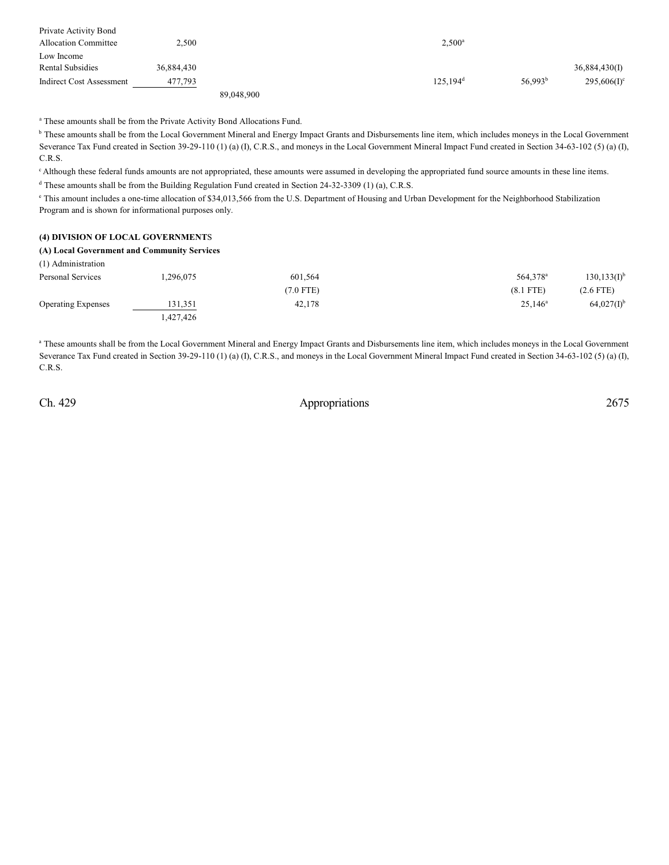| Private Activity Bond       |            |            |                      |                     |                |
|-----------------------------|------------|------------|----------------------|---------------------|----------------|
| <b>Allocation Committee</b> | 2,500      |            | $2,500^{\circ}$      |                     |                |
| Low Income                  |            |            |                      |                     |                |
| Rental Subsidies            | 36,884,430 |            |                      |                     | 36,884,430(I)  |
| Indirect Cost Assessment    | 477,793    |            | 125.194 <sup>d</sup> | 56,993 <sup>b</sup> | $295,606(1)$ ° |
|                             |            | 89,048,900 |                      |                     |                |

<sup>a</sup> These amounts shall be from the Private Activity Bond Allocations Fund.

<sup>b</sup> These amounts shall be from the Local Government Mineral and Energy Impact Grants and Disbursements line item, which includes moneys in the Local Government Severance Tax Fund created in Section 39-29-110 (1) (a) (I), C.R.S., and moneys in the Local Government Mineral Impact Fund created in Section 34-63-102 (5) (a) (I), C.R.S.

<sup>c</sup> Although these federal funds amounts are not appropriated, these amounts were assumed in developing the appropriated fund source amounts in these line items.

<sup>d</sup> These amounts shall be from the Building Regulation Fund created in Section 24-32-3309 (1) (a), C.R.S.

<sup>e</sup> This amount includes a one-time allocation of \$34,013,566 from the U.S. Department of Housing and Urban Development for the Neighborhood Stabilization Program and is shown for informational purposes only.

## **(4) DIVISION OF LOCAL GOVERNMENT**S

### **(A) Local Government and Community Services**

| (1) Administration        |           |             |                      |                          |
|---------------------------|-----------|-------------|----------------------|--------------------------|
| Personal Services         | 1,296,075 | 601,564     | 564,378 <sup>a</sup> | $130, 133(I)^{b}$        |
|                           |           | $(7.0$ FTE) | $(8.1$ FTE)          | $(2.6$ FTE)              |
| <b>Operating Expenses</b> | 131,351   | 42,178      | $25,146^{\rm a}$     | $64,027(1)$ <sup>b</sup> |
|                           | 1,427,426 |             |                      |                          |

a These amounts shall be from the Local Government Mineral and Energy Impact Grants and Disbursements line item, which includes moneys in the Local Government Severance Tax Fund created in Section 39-29-110 (1) (a) (I), C.R.S., and moneys in the Local Government Mineral Impact Fund created in Section 34-63-102 (5) (a) (I), C.R.S.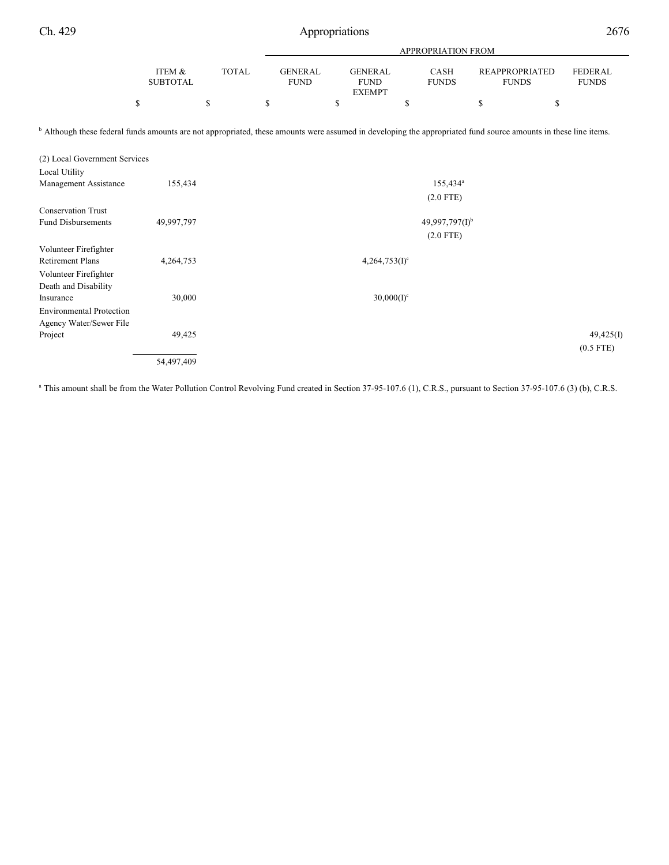|                                                                                                                                                                            |                           |              | APPROPRIATION FROM            |                                                |                        |                                       |                         |  |  |  |
|----------------------------------------------------------------------------------------------------------------------------------------------------------------------------|---------------------------|--------------|-------------------------------|------------------------------------------------|------------------------|---------------------------------------|-------------------------|--|--|--|
|                                                                                                                                                                            | ITEM &<br><b>SUBTOTAL</b> | <b>TOTAL</b> | <b>GENERAL</b><br><b>FUND</b> | <b>GENERAL</b><br><b>FUND</b><br><b>EXEMPT</b> | CASH<br><b>FUNDS</b>   | <b>REAPPROPRIATED</b><br><b>FUNDS</b> | FEDERAL<br><b>FUNDS</b> |  |  |  |
|                                                                                                                                                                            | \$                        | \$           | \$                            | \$                                             | \$                     | \$<br>\$                              |                         |  |  |  |
| <sup>b</sup> Although these federal funds amounts are not appropriated, these amounts were assumed in developing the appropriated fund source amounts in these line items. |                           |              |                               |                                                |                        |                                       |                         |  |  |  |
| (2) Local Government Services                                                                                                                                              |                           |              |                               |                                                |                        |                                       |                         |  |  |  |
| Local Utility<br>Management Assistance                                                                                                                                     | 155,434                   |              |                               |                                                | $155,434$ <sup>a</sup> |                                       |                         |  |  |  |
|                                                                                                                                                                            |                           |              |                               |                                                | $(2.0$ FTE)            |                                       |                         |  |  |  |
| <b>Conservation Trust</b>                                                                                                                                                  |                           |              |                               |                                                |                        |                                       |                         |  |  |  |
| <b>Fund Disbursements</b>                                                                                                                                                  | 49,997,797                |              |                               |                                                | $49,997,797(1)^b$      |                                       |                         |  |  |  |
|                                                                                                                                                                            |                           |              |                               |                                                | $(2.0$ FTE)            |                                       |                         |  |  |  |
| Volunteer Firefighter                                                                                                                                                      |                           |              |                               |                                                |                        |                                       |                         |  |  |  |
| <b>Retirement Plans</b>                                                                                                                                                    | 4,264,753                 |              |                               | $4,264,753(I)^c$                               |                        |                                       |                         |  |  |  |
| Volunteer Firefighter                                                                                                                                                      |                           |              |                               |                                                |                        |                                       |                         |  |  |  |
| Death and Disability                                                                                                                                                       |                           |              |                               |                                                |                        |                                       |                         |  |  |  |
| Insurance                                                                                                                                                                  | 30,000                    |              |                               | $30,000(I)^c$                                  |                        |                                       |                         |  |  |  |
| <b>Environmental Protection</b>                                                                                                                                            |                           |              |                               |                                                |                        |                                       |                         |  |  |  |
| Agency Water/Sewer File<br>Project                                                                                                                                         | 49,425                    |              |                               |                                                |                        |                                       | 49,425(I)               |  |  |  |
|                                                                                                                                                                            |                           |              |                               |                                                |                        |                                       | $(0.5$ FTE)             |  |  |  |
|                                                                                                                                                                            | 54,497,409                |              |                               |                                                |                        |                                       |                         |  |  |  |
|                                                                                                                                                                            |                           |              |                               |                                                |                        |                                       |                         |  |  |  |

<sup>a</sup> This amount shall be from the Water Pollution Control Revolving Fund created in Section 37-95-107.6 (1), C.R.S., pursuant to Section 37-95-107.6 (3) (b), C.R.S.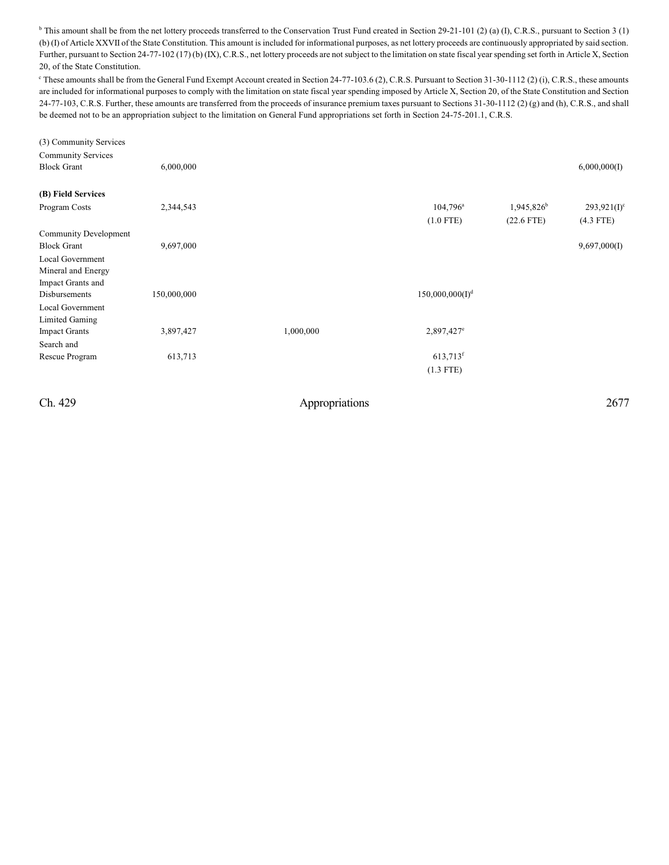<sup>b</sup> This amount shall be from the net lottery proceeds transferred to the Conservation Trust Fund created in Section 29-21-101 (2) (a) (I), C.R.S., pursuant to Section 3 (1) (b) (I) of Article XXVII of the State Constitution. This amount is included for informational purposes, as net lottery proceeds are continuously appropriated by said section. Further, pursuant to Section 24-77-102 (17) (b) (IX), C.R.S., net lottery proceeds are not subject to the limitation on state fiscal year spending set forth in Article X, Section 20, of the State Constitution.

 $\degree$  These amounts shall be from the General Fund Exempt Account created in Section 24-77-103.6 (2), C.R.S. Pursuant to Section 31-30-1112 (2) (i), C.R.S., these amounts are included for informational purposes to comply with the limitation on state fiscal year spending imposed by Article X, Section 20, of the State Constitution and Section 24-77-103, C.R.S. Further, these amounts are transferred from the proceeds of insurance premium taxes pursuant to Sections 31-30-1112 (2) (g) and (h), C.R.S., and shall be deemed not to be an appropriation subject to the limitation on General Fund appropriations set forth in Section 24-75-201.1, C.R.S.

| (3) Community Services<br><b>Community Services</b><br><b>Block Grant</b> | 6,000,000   |           |                             |                        | 6,000,000(I)   |
|---------------------------------------------------------------------------|-------------|-----------|-----------------------------|------------------------|----------------|
| (B) Field Services                                                        |             |           |                             |                        |                |
| Program Costs                                                             | 2,344,543   |           | $104,796^{\circ}$           | 1,945,826 <sup>b</sup> | $293,921(I)^c$ |
|                                                                           |             |           | $(1.0$ FTE)                 | $(22.6$ FTE)           | $(4.3$ FTE)    |
| <b>Community Development</b>                                              |             |           |                             |                        |                |
| <b>Block Grant</b>                                                        | 9,697,000   |           |                             |                        | 9,697,000(I)   |
| Local Government                                                          |             |           |                             |                        |                |
| Mineral and Energy                                                        |             |           |                             |                        |                |
| Impact Grants and                                                         |             |           |                             |                        |                |
| Disbursements                                                             | 150,000,000 |           | 150,000,000(I) <sup>d</sup> |                        |                |
| Local Government                                                          |             |           |                             |                        |                |
| Limited Gaming                                                            |             |           |                             |                        |                |
| <b>Impact Grants</b>                                                      | 3,897,427   | 1,000,000 | 2,897,427 <sup>e</sup>      |                        |                |
| Search and                                                                |             |           |                             |                        |                |
| Rescue Program                                                            | 613,713     |           | $613,713$ <sup>f</sup>      |                        |                |
|                                                                           |             |           | $(1.3$ FTE)                 |                        |                |
|                                                                           |             |           |                             |                        |                |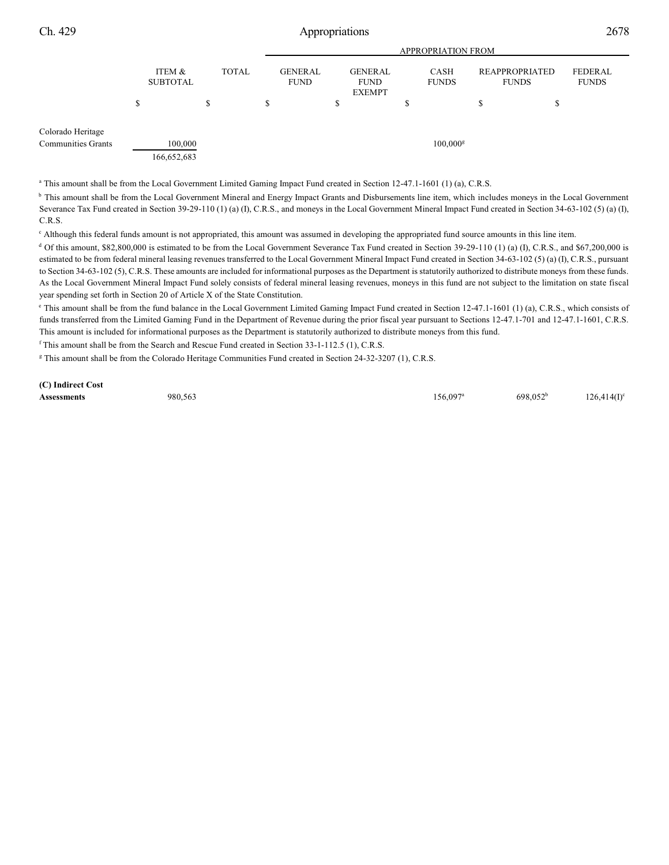|                           |                           |                        |              | <b>APPROPRIATION FROM</b>     |    |                                                |   |                        |   |                                |                                |
|---------------------------|---------------------------|------------------------|--------------|-------------------------------|----|------------------------------------------------|---|------------------------|---|--------------------------------|--------------------------------|
|                           | ITEM &<br><b>SUBTOTAL</b> |                        | <b>TOTAL</b> | <b>GENERAL</b><br><b>FUND</b> |    | <b>GENERAL</b><br><b>FUND</b><br><b>EXEMPT</b> |   | CASH<br><b>FUNDS</b>   |   | REAPPROPRIATED<br><b>FUNDS</b> | <b>FEDERAL</b><br><b>FUNDS</b> |
|                           | S                         | \$                     |              | \$                            | \$ |                                                | S |                        | S | ۰D                             |                                |
| Colorado Heritage         |                           |                        |              |                               |    |                                                |   |                        |   |                                |                                |
| <b>Communities Grants</b> |                           | 100,000<br>166,652,683 |              |                               |    |                                                |   | $100,000$ <sup>g</sup> |   |                                |                                |

<sup>a</sup> This amount shall be from the Local Government Limited Gaming Impact Fund created in Section 12-47.1-1601 (1) (a), C.R.S.

<sup>b</sup> This amount shall be from the Local Government Mineral and Energy Impact Grants and Disbursements line item, which includes moneys in the Local Government Severance Tax Fund created in Section 39-29-110 (1) (a) (I), C.R.S., and moneys in the Local Government Mineral Impact Fund created in Section 34-63-102 (5) (a) (I), C.R.S.

<sup>c</sup> Although this federal funds amount is not appropriated, this amount was assumed in developing the appropriated fund source amounts in this line item.

 $d$  Of this amount, \$82,800,000 is estimated to be from the Local Government Severance Tax Fund created in Section 39-29-110 (1) (a) (I), C.R.S., and \$67,200,000 is estimated to be from federal mineral leasing revenues transferred to the Local Government Mineral Impact Fund created in Section 34-63-102 (5) (a) (I), C.R.S., pursuant to Section 34-63-102 (5), C.R.S. These amounts are included for informational purposes as the Department is statutorily authorized to distribute moneys from these funds. As the Local Government Mineral Impact Fund solely consists of federal mineral leasing revenues, moneys in this fund are not subject to the limitation on state fiscal year spending set forth in Section 20 of Article X of the State Constitution.

<sup>e</sup> This amount shall be from the fund balance in the Local Government Limited Gaming Impact Fund created in Section 12-47.1-1601 (1) (a), C.R.S., which consists of funds transferred from the Limited Gaming Fund in the Department of Revenue during the prior fiscal year pursuant to Sections 12-47.1-701 and 12-47.1-1601, C.R.S. This amount is included for informational purposes as the Department is statutorily authorized to distribute moneys from this fund.

 $f$ This amount shall be from the Search and Rescue Fund created in Section 33-1-112.5 (1), C.R.S.

<sup>g</sup> This amount shall be from the Colorado Heritage Communities Fund created in Section 24-32-3207 (1), C.R.S.

**(C) Indirect Cost**

**Assessments** 980,563 980,563 **156,097<sup>a</sup> 698,052<sup>b</sup>** 126,414(I)  $156,097^a$  698,052<sup>b</sup> 126,414(I)<sup>c</sup>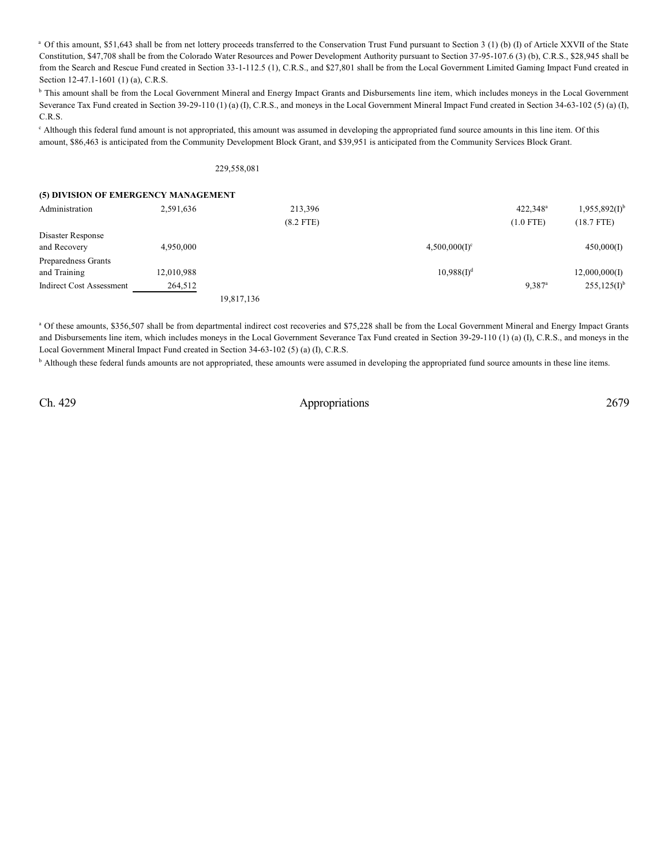<sup>a</sup> Of this amount, \$51,643 shall be from net lottery proceeds transferred to the Conservation Trust Fund pursuant to Section 3 (1) (b) (I) of Article XXVII of the State Constitution, \$47,708 shall be from the Colorado Water Resources and Power Development Authority pursuant to Section 37-95-107.6 (3) (b), C.R.S., \$28,945 shall be from the Search and Rescue Fund created in Section 33-1-112.5 (1), C.R.S., and \$27,801 shall be from the Local Government Limited Gaming Impact Fund created in Section 12-47.1-1601 (1) (a), C.R.S.

<sup>b</sup> This amount shall be from the Local Government Mineral and Energy Impact Grants and Disbursements line item, which includes moneys in the Local Government Severance Tax Fund created in Section 39-29-110 (1) (a) (I), C.R.S., and moneys in the Local Government Mineral Impact Fund created in Section 34-63-102 (5) (a) (I), C.R.S.

<sup>c</sup> Although this federal fund amount is not appropriated, this amount was assumed in developing the appropriated fund source amounts in this line item. Of this amount, \$86,463 is anticipated from the Community Development Block Grant, and \$39,951 is anticipated from the Community Services Block Grant.

### 229,558,081

| (5) DIVISION OF EMERGENCY MANAGEMENT |            |            |             |                  |                      |                    |
|--------------------------------------|------------|------------|-------------|------------------|----------------------|--------------------|
| Administration                       | 2,591,636  |            | 213,396     |                  | 422.348 <sup>a</sup> | $1,955,892(I)^{b}$ |
|                                      |            |            | $(8.2$ FTE) |                  | $(1.0$ FTE)          | $(18.7$ FTE)       |
| Disaster Response                    |            |            |             |                  |                      |                    |
| and Recovery                         | 4,950,000  |            |             | $4,500,000(1)^c$ |                      | 450,000(I)         |
| Preparedness Grants                  |            |            |             |                  |                      |                    |
| and Training                         | 12,010,988 |            |             | $10,988(1)^d$    |                      | 12,000,000(I)      |
| Indirect Cost Assessment             | 264,512    |            |             |                  | $9.387$ <sup>a</sup> | $255,125(I)^{b}$   |
|                                      |            | 19,817,136 |             |                  |                      |                    |

<sup>a</sup> Of these amounts, \$356,507 shall be from departmental indirect cost recoveries and \$75,228 shall be from the Local Government Mineral and Energy Impact Grants and Disbursements line item, which includes moneys in the Local Government Severance Tax Fund created in Section 39-29-110 (1) (a) (I), C.R.S., and moneys in the Local Government Mineral Impact Fund created in Section 34-63-102 (5) (a) (I), C.R.S.

<sup>b</sup> Although these federal funds amounts are not appropriated, these amounts were assumed in developing the appropriated fund source amounts in these line items.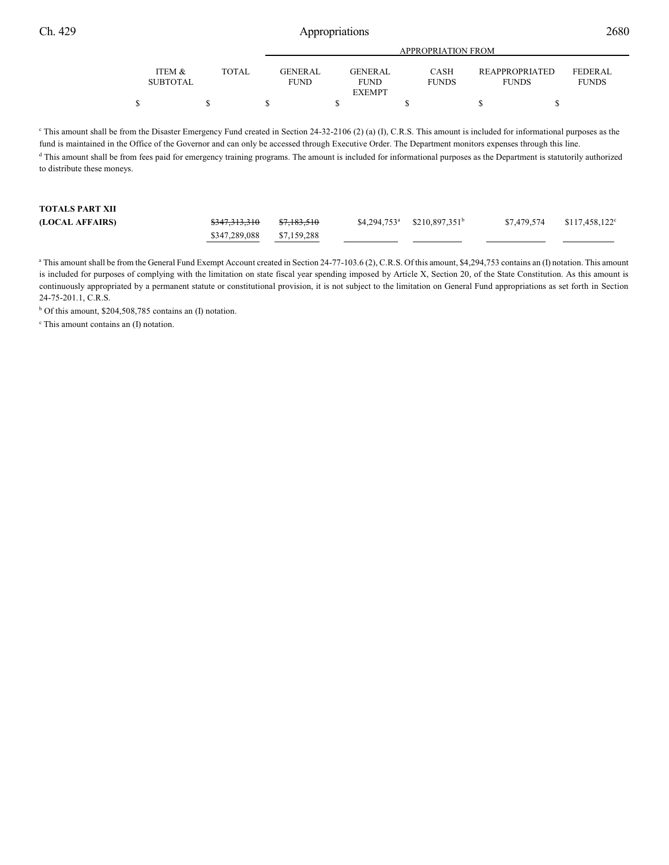|                           |       | APPROPRIATION FROM             |                                                |                             |                                       |                         |  |
|---------------------------|-------|--------------------------------|------------------------------------------------|-----------------------------|---------------------------------------|-------------------------|--|
| ITEM &<br><b>SUBTOTAL</b> | TOTAL | <b>GENER AL</b><br><b>FUND</b> | <b>GENERAL</b><br><b>FUND</b><br><b>EXEMPT</b> | <b>CASH</b><br><b>FUNDS</b> | <b>REAPPROPRIATED</b><br><b>FUNDS</b> | FEDERAL<br><b>FUNDS</b> |  |
|                           |       |                                |                                                |                             |                                       |                         |  |

<sup>c</sup> This amount shall be from the Disaster Emergency Fund created in Section 24-32-2106 (2) (a) (I), C.R.S. This amount is included for informational purposes as the fund is maintained in the Office of the Governor and can only be accessed through Executive Order. The Department monitors expenses through this line. <sup>d</sup> This amount shall be from fees paid for emergency training programs. The amount is included for informational purposes as the Department is statutorily authorized to distribute these moneys.

| <b>TOTALS PART XII</b> |                          |                        |                                 |             |                        |
|------------------------|--------------------------|------------------------|---------------------------------|-------------|------------------------|
| (LOCAL AFFAIRS)        | <del>\$347,313,310</del> | <del>\$7,183,510</del> | $$4,294,753^a$ $$210,897,351^b$ | \$7.479.574 | $$117,458,122^{\circ}$ |
|                        | \$347,289,088            | \$7,159,288            |                                 |             |                        |

<sup>a</sup> This amount shall be from the General Fund Exempt Account created in Section 24-77-103.6 (2), C.R.S. Of this amount, \$4,294,753 contains an (I) notation. This amount is included for purposes of complying with the limitation on state fiscal year spending imposed by Article X, Section 20, of the State Constitution. As this amount is continuously appropriated by a permanent statute or constitutional provision, it is not subject to the limitation on General Fund appropriations as set forth in Section 24-75-201.1, C.R.S.

 $b$  Of this amount, \$204,508,785 contains an (I) notation.

 $c$  This amount contains an  $(I)$  notation.